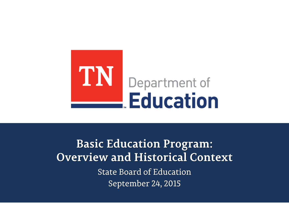

**Basic Education Program: Overview and Historical Context State Board of Education** September 24, 2015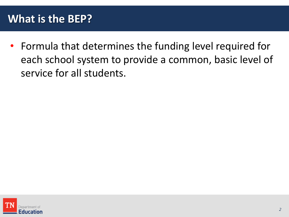## **What is the BEP?**

• Formula that determines the funding level required for each school system to provide a common, basic level of service for all students.

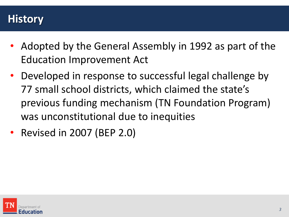### **History**

- Adopted by the General Assembly in 1992 as part of the Education Improvement Act
- Developed in response to successful legal challenge by 77 small school districts, which claimed the state's previous funding mechanism (TN Foundation Program) was unconstitutional due to inequities
- Revised in 2007 (BEP 2.0)

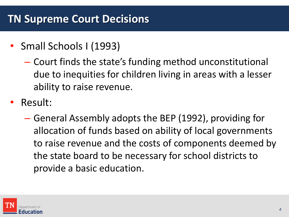## **TN Supreme Court Decisions**

- Small Schools I (1993)
	- Court finds the state's funding method unconstitutional due to inequities for children living in areas with a lesser ability to raise revenue.
- Result:
	- General Assembly adopts the BEP (1992), providing for allocation of funds based on ability of local governments to raise revenue and the costs of components deemed by the state board to be necessary for school districts to provide a basic education.

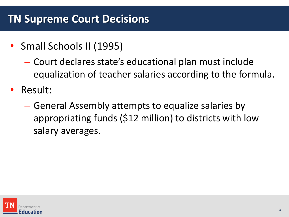## **TN Supreme Court Decisions**

- Small Schools II (1995)
	- Court declares state's educational plan must include equalization of teacher salaries according to the formula.
- Result:
	- General Assembly attempts to equalize salaries by appropriating funds (\$12 million) to districts with low salary averages.

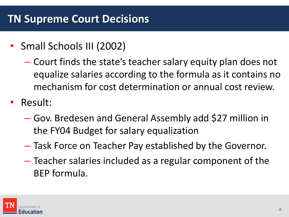- Small Schools III (2002)
	- Court finds the state's teacher salary equity plan does not equalize salaries according to the formula as it contains no mechanism for cost determination or annual cost review.
- Result:
	- Gov. Bredesen and General Assembly add \$27 million in the FY04 Budget for salary equalization
	- Task Force on Teacher Pay established by the Governor.
	- Teacher salaries included as a regular component of the BEP formula.

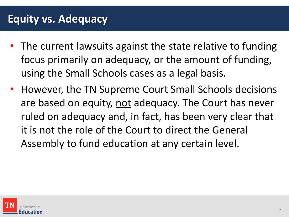### **Equity vs. Adequacy**

- The current lawsuits against the state relative to funding focus primarily on adequacy, or the amount of funding, using the Small Schools cases as a legal basis.
- However, the TN Supreme Court Small Schools decisions are based on equity, not adequacy. The Court has never ruled on adequacy and, in fact, has been very clear that it is not the role of the Court to direct the General Assembly to fund education at any certain level.

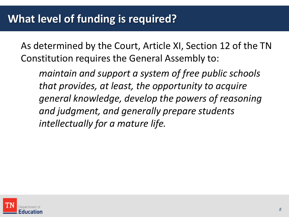As determined by the Court, Article XI, Section 12 of the TN Constitution requires the General Assembly to:

*maintain and support a system of free public schools that provides, at least, the opportunity to acquire general knowledge, develop the powers of reasoning and judgment, and generally prepare students intellectually for a mature life.*

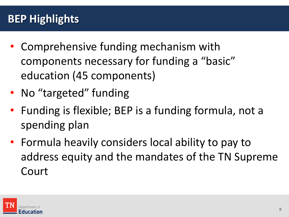# **BEP Highlights**

- Comprehensive funding mechanism with components necessary for funding a "basic" education (45 components)
- No "targeted" funding
- Funding is flexible; BEP is a funding formula, not a spending plan
- Formula heavily considers local ability to pay to address equity and the mandates of the TN Supreme Court

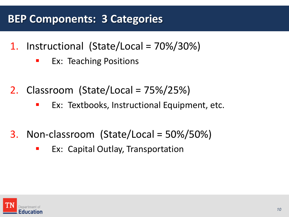# **BEP Components: 3 Categories**

- 1. Instructional (State/Local = 70%/30%)
	- **EX: Teaching Positions**
- 2. Classroom (State/Local = 75%/25%)
	- **EX: Textbooks, Instructional Equipment, etc.**
- 3. Non-classroom (State/Local = 50%/50%)
	- **EX: Capital Outlay, Transportation**

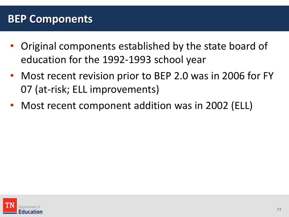#### **BEP Components**

- Original components established by the state board of education for the 1992-1993 school year
- Most recent revision prior to BEP 2.0 was in 2006 for FY 07 (at-risk; ELL improvements)
- Most recent component addition was in 2002 (ELL)

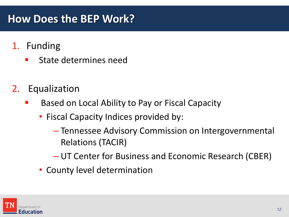### **How Does the BEP Work?**

- 1. Funding
	- State determines need
- 2. Equalization
	- Based on Local Ability to Pay or Fiscal Capacity
		- Fiscal Capacity Indices provided by:
			- Tennessee Advisory Commission on Intergovernmental Relations (TACIR)
			- UT Center for Business and Economic Research (CBER)
		- County level determination

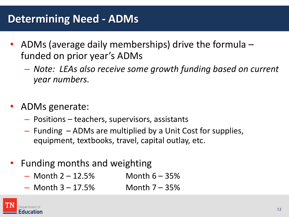# **Determining Need - ADMs**

- ADMs (average daily memberships) drive the formula funded on prior year's ADMs
	- *Note: LEAs also receive some growth funding based on current year numbers.*
- ADMs generate:
	- Positions teachers, supervisors, assistants
	- Funding ADMs are multiplied by a Unit Cost for supplies, equipment, textbooks, travel, capital outlay, etc.
- Funding months and weighting
	- $-$  Month 2 12.5% Month 6 35%
	- $-$  Month 3 17.5% Month 7 35%

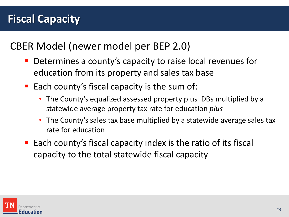CBER Model (newer model per BEP 2.0)

- **Determines a county's capacity to raise local revenues for** education from its property and sales tax base
- Each county's fiscal capacity is the sum of:
	- The County's equalized assessed property plus IDBs multiplied by a statewide average property tax rate for education *plus*
	- The County's sales tax base multiplied by a statewide average sales tax rate for education
- Each county's fiscal capacity index is the ratio of its fiscal capacity to the total statewide fiscal capacity

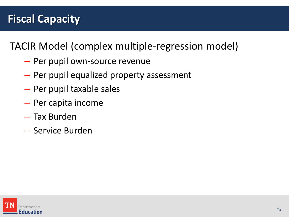TACIR Model (complex multiple-regression model)

- Per pupil own-source revenue
- Per pupil equalized property assessment
- Per pupil taxable sales
- Per capita income
- Tax Burden
- Service Burden

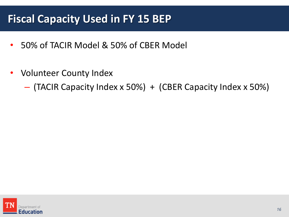## **Fiscal Capacity Used in FY 15 BEP**

- 50% of TACIR Model & 50% of CBER Model
- Volunteer County Index

– (TACIR Capacity Index x 50%) + (CBER Capacity Index x 50%)

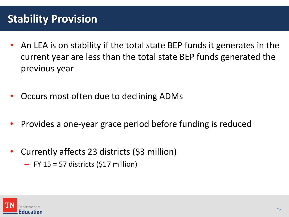# **Stability Provision**

- An LEA is on stability if the total state BEP funds it generates in the current year are less than the total state BEP funds generated the previous year
- Occurs most often due to declining ADMs
- Provides a one-year grace period before funding is reduced
- Currently affects 23 districts (\$3 million)
	- $-$  FY 15 = 57 districts (\$17 million)

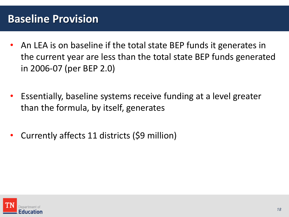#### **Baseline Provision**

- An LEA is on baseline if the total state BEP funds it generates in the current year are less than the total state BEP funds generated in 2006-07 (per BEP 2.0)
- Essentially, baseline systems receive funding at a level greater than the formula, by itself, generates
- Currently affects 11 districts (\$9 million)

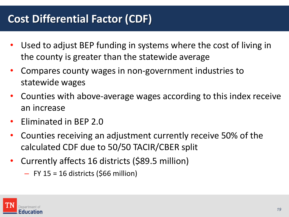# **Cost Differential Factor (CDF)**

- Used to adjust BEP funding in systems where the cost of living in the county is greater than the statewide average
- Compares county wages in non-government industries to statewide wages
- Counties with above-average wages according to this index receive an increase
- Eliminated in BEP 2.0
- Counties receiving an adjustment currently receive 50% of the calculated CDF due to 50/50 TACIR/CBER split
- Currently affects 16 districts (\$89.5 million)
	- $-$  FY 15 = 16 districts (\$66 million)

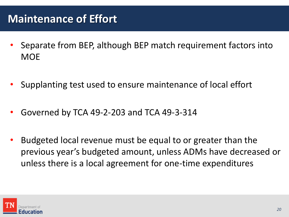# **Maintenance of Effort**

- Separate from BEP, although BEP match requirement factors into **MOF**
- Supplanting test used to ensure maintenance of local effort
- Governed by TCA 49-2-203 and TCA 49-3-314
- Budgeted local revenue must be equal to or greater than the previous year's budgeted amount, unless ADMs have decreased or unless there is a local agreement for one-time expenditures

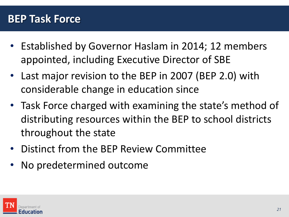#### **BEP Task Force**

- Established by Governor Haslam in 2014; 12 members appointed, including Executive Director of SBE
- Last major revision to the BEP in 2007 (BEP 2.0) with considerable change in education since
- Task Force charged with examining the state's method of distributing resources within the BEP to school districts throughout the state
- Distinct from the BEP Review Committee
- No predetermined outcome

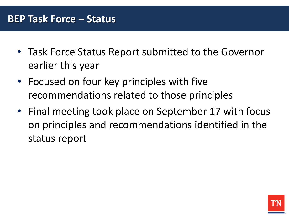- Task Force Status Report submitted to the Governor earlier this year
- Focused on four key principles with five recommendations related to those principles
- Final meeting took place on September 17 with focus on principles and recommendations identified in the status report

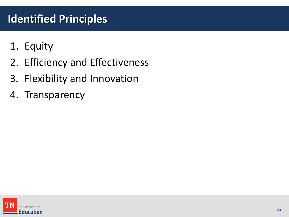# **Identified Principles**

- 1. Equity
- 2. Efficiency and Effectiveness
- 3. Flexibility and Innovation
- 4. Transparency

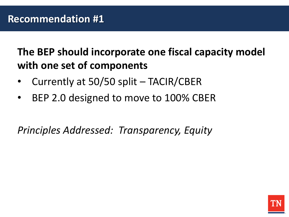**The BEP should incorporate one fiscal capacity model with one set of components**

- Currently at 50/50 split TACIR/CBER
- BEP 2.0 designed to move to 100% CBER

*Principles Addressed: Transparency, Equity*

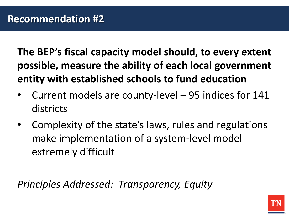**The BEP's fiscal capacity model should, to every extent possible, measure the ability of each local government entity with established schools to fund education**

- Current models are county-level 95 indices for 141 districts
- Complexity of the state's laws, rules and regulations make implementation of a system-level model extremely difficult

*Principles Addressed: Transparency, Equity*

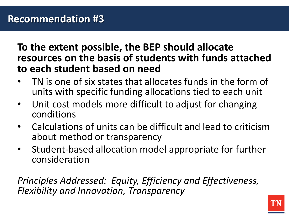**To the extent possible, the BEP should allocate resources on the basis of students with funds attached to each student based on need**

- TN is one of six states that allocates funds in the form of units with specific funding allocations tied to each unit
- Unit cost models more difficult to adjust for changing conditions
- Calculations of units can be difficult and lead to criticism about method or transparency
- Student-based allocation model appropriate for further consideration

*Principles Addressed: Equity, Efficiency and Effectiveness, Flexibility and Innovation, Transparency*

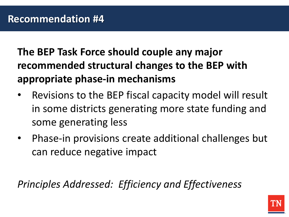**The BEP Task Force should couple any major recommended structural changes to the BEP with appropriate phase-in mechanisms**

- Revisions to the BEP fiscal capacity model will result in some districts generating more state funding and some generating less
- Phase-in provisions create additional challenges but can reduce negative impact

*Principles Addressed: Efficiency and Effectiveness*

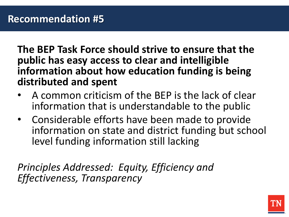**The BEP Task Force should strive to ensure that the public has easy access to clear and intelligible information about how education funding is being distributed and spent**

- A common criticism of the BEP is the lack of clear information that is understandable to the public
- Considerable efforts have been made to provide information on state and district funding but school level funding information still lacking

*Principles Addressed: Equity, Efficiency and Effectiveness, Transparency*

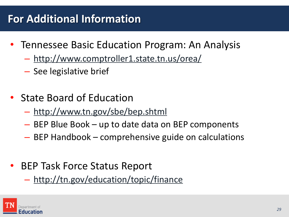# **For Additional Information**

- Tennessee Basic Education Program: An Analysis
	- <http://www.comptroller1.state.tn.us/orea/>
	- See legislative brief
- State Board of Education
	- <http://www.tn.gov/sbe/bep.shtml>
	- BEP Blue Book up to date data on BEP components
	- BEP Handbook comprehensive guide on calculations
- BEP Task Force Status Report
	- <http://tn.gov/education/topic/finance>